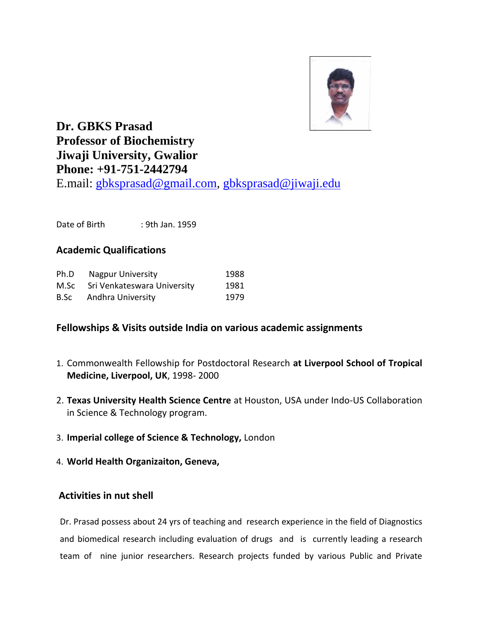

**Dr. GBKS Prasad Professor of Biochemistry Jiwaji University, Gwalior Phone: +91-751-2442794** E.mail: [gbksprasad@gmail.com,](mailto:gbksprasad@gmail.com) [gbksprasad@jiwaji.edu](mailto:gbksprasad@jiwaji.edu)

Date of Birth : 9th Jan. 1959

## **Academic Qualifications**

| Ph.D | Nagpur University           | 1988 |
|------|-----------------------------|------|
| M.Sc | Sri Venkateswara University | 1981 |
| B.Sc | Andhra University           | 1979 |

## **Fellowships & Visits outside India on various academic assignments**

- 1. Commonwealth Fellowship for Postdoctoral Research **at Liverpool School of Tropical Medicine, Liverpool, UK**, 1998- 2000
- 2. **Texas University Health Science Centre** at Houston, USA under Indo-US Collaboration in Science & Technology program.
- 3. **Imperial college of Science & Technology,** London
- 4. **World Health Organizaiton, Geneva,**

#### **Activities in nut shell**

Dr. Prasad possess about 24 yrs of teaching and research experience in the field of Diagnostics and biomedical research including evaluation of drugs and is currently leading a research team of nine junior researchers. Research projects funded by various Public and Private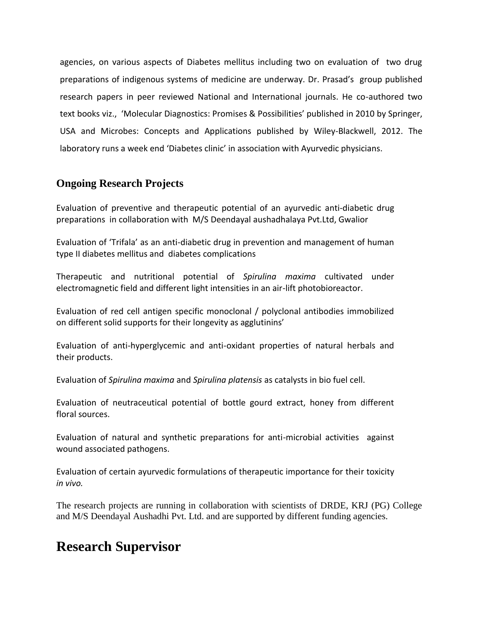agencies, on various aspects of Diabetes mellitus including two on evaluation of two drug preparations of indigenous systems of medicine are underway. Dr. Prasad's group published research papers in peer reviewed National and International journals. He co-authored two text books viz., 'Molecular Diagnostics: Promises & Possibilities' published in 2010 by Springer, USA and Microbes: Concepts and Applications published by Wiley-Blackwell, 2012. The laboratory runs a week end 'Diabetes clinic' in association with Ayurvedic physicians.

## **Ongoing Research Projects**

Evaluation of preventive and therapeutic potential of an ayurvedic anti-diabetic drug preparations in collaboration with M/S Deendayal aushadhalaya Pvt.Ltd, Gwalior

Evaluation of 'Trifala' as an anti-diabetic drug in prevention and management of human type II diabetes mellitus and diabetes complications

Therapeutic and nutritional potential of *Spirulina maxima* cultivated under electromagnetic field and different light intensities in an air-lift photobioreactor.

Evaluation of red cell antigen specific monoclonal / polyclonal antibodies immobilized on different solid supports for their longevity as agglutinins'

Evaluation of anti-hyperglycemic and anti-oxidant properties of natural herbals and their products.

Evaluation of *Spirulina maxima* and *Spirulina platensis* as catalysts in bio fuel cell.

Evaluation of neutraceutical potential of bottle gourd extract, honey from different floral sources.

Evaluation of natural and synthetic preparations for anti-microbial activities against wound associated pathogens.

Evaluation of certain ayurvedic formulations of therapeutic importance for their toxicity *in vivo.*

The research projects are running in collaboration with scientists of DRDE, KRJ (PG) College and M/S Deendayal Aushadhi Pvt. Ltd. and are supported by different funding agencies.

# **Research Supervisor**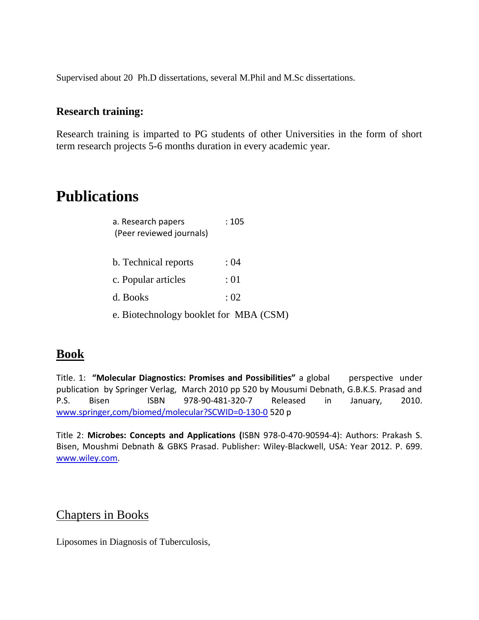Supervised about 20 Ph.D dissertations, several M.Phil and M.Sc dissertations.

#### **Research training:**

Research training is imparted to PG students of other Universities in the form of short term research projects 5-6 months duration in every academic year.

# **Publications**

| a. Research papers<br>(Peer reviewed journals) | : 105 |
|------------------------------------------------|-------|
| b. Technical reports                           | :04   |
| c. Popular articles                            | : 01  |
| d. Books                                       | : 02  |
| e. Biotechnology booklet for MBA (CSM)         |       |

# **Book**

Title. 1: **"Molecular Diagnostics: Promises and Possibilities"** a global perspective under publication by Springer Verlag, March 2010 pp 520 by Mousumi Debnath, G.B.K.S. Prasad and P.S. BisenISBN 978-90-481-320-7 Released in January, 2010. [www.springer,com/biomed/molecular?SCWID=0-130-0](http://www.springer,com/biomed/molecular?SCWID=0-130-0) 520 p

Title 2: **Microbes: Concepts and Applications (**ISBN 978-0-470-90594-4): Authors: Prakash S. Bisen, Moushmi Debnath & GBKS Prasad. Publisher: Wiley-Blackwell, USA: Year 2012. P. 699. [www.wiley.com.](http://www.wiley.com/)

## Chapters in Books

Liposomes in Diagnosis of Tuberculosis,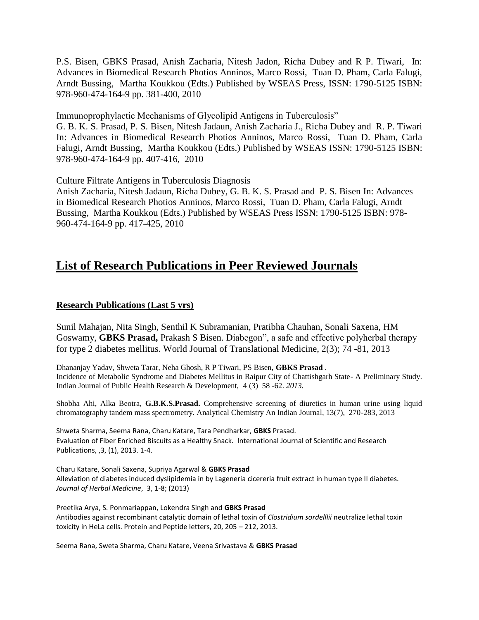P.S. Bisen, GBKS Prasad, Anish Zacharia, Nitesh Jadon, Richa Dubey and R P. Tiwari, In: Advances in Biomedical Research Photios Anninos, Marco Rossi, Tuan D. Pham, Carla Falugi, Arndt Bussing, Martha Koukkou (Edts.) Published by WSEAS Press, ISSN: 1790-5125 ISBN: 978-960-474-164-9 pp. 381-400, 2010

Immunoprophylactic Mechanisms of Glycolipid Antigens in Tuberculosis"

G. B. K. S. Prasad, P. S. Bisen, Nitesh Jadaun, Anish Zacharia J., Richa Dubey and R. P. Tiwari In: Advances in Biomedical Research Photios Anninos, Marco Rossi, Tuan D. Pham, Carla Falugi, Arndt Bussing, Martha Koukkou (Edts.) Published by WSEAS ISSN: 1790-5125 ISBN: 978-960-474-164-9 pp. 407-416, 2010

Culture Filtrate Antigens in Tuberculosis Diagnosis

Anish Zacharia, Nitesh Jadaun, Richa Dubey, G. B. K. S. Prasad and P. S. Bisen In: Advances in Biomedical Research Photios Anninos, Marco Rossi, Tuan D. Pham, Carla Falugi, Arndt Bussing, Martha Koukkou (Edts.) Published by WSEAS Press ISSN: 1790-5125 ISBN: 978- 960-474-164-9 pp. 417-425, 2010

## **List of Research Publications in Peer Reviewed Journals**

#### **Research Publications (Last 5 yrs)**

Sunil Mahajan, Nita Singh, Senthil K Subramanian, Pratibha Chauhan, Sonali Saxena, HM Goswamy, **GBKS Prasad,** Prakash S Bisen. Diabegon", a safe and effective polyherbal therapy for type 2 diabetes mellitus. World Journal of Translational Medicine, 2(3); 74 -81, 2013

Dhananjay Yadav, Shweta Tarar, Neha Ghosh, R P Tiwari, PS Bisen, **GBKS Prasad** . Incidence of Metabolic Syndrome and Diabetes Mellitus in Raipur City of Chattishgarh State- A Preliminary Study. Indian Journal of Public Health Research & Development, 4 (3) 58 -62. *2013.* 

Shobha Ahi, Alka Beotra, **G.B.K.S.Prasad.** Comprehensive screening of diuretics in human urine using liquid chromatography tandem mass spectrometry. Analytical Chemistry An Indian Journal, 13(7), 270-283, 2013

Shweta Sharma, Seema Rana, Charu Katare, Tara Pendharkar, **GBKS** Prasad. Evaluation of Fiber Enriched Biscuits as a Healthy Snack. International Journal of Scientific and Research Publications, ,3, (1), 2013. 1-4.

Charu Katare, Sonali Saxena, Supriya Agarwal & **GBKS Prasad** Alleviation of diabetes induced dyslipidemia in by Lageneria cicereria fruit extract in human type II diabetes. *Journal of Herbal Medicine*, 3, 1-8; (2013)

Preetika Arya, S. Ponmariappan, Lokendra Singh and **GBKS Prasad** Antibodies against recombinant catalytic domain of lethal toxin of *Clostridium sordelllii* neutralize lethal toxin toxicity in HeLa cells. Protein and Peptide letters, 20, 205 – 212, 2013.

Seema Rana, Sweta Sharma, Charu Katare, Veena Srivastava & **GBKS Prasad**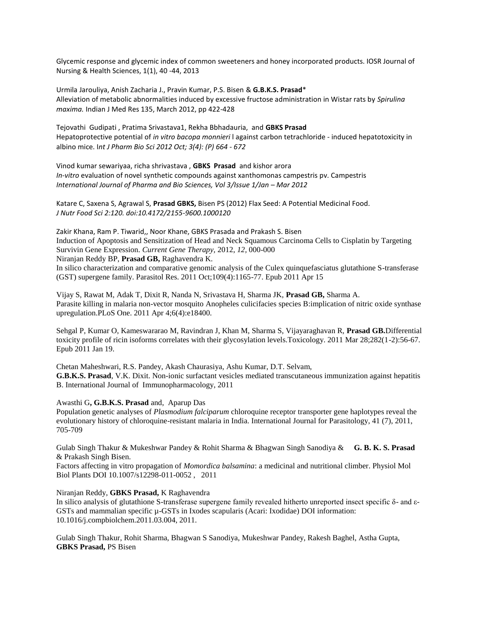Glycemic response and glycemic index of common sweeteners and honey incorporated products. IOSR Journal of Nursing & Health Sciences, 1(1), 40 -44, 2013

Urmila Jarouliya, Anish Zacharia J., Pravin Kumar, P.S. Bisen & **G.B.K.S. Prasad**\* Alleviation of metabolic abnormalities induced by excessive fructose administration in Wistar rats by *Spirulina maxima.* Indian J Med Res 135, March 2012, pp 422-428

Tejovathi Gudipati , Pratima Srivastava1, Rekha Bbhadauria, and **GBKS Prasad** Hepatoprotective potential of *in vitro bacopa monnieri* l against carbon tetrachloride - induced hepatotoxicity in albino mice. I*nt J Pharm Bio Sci 2012 Oct; 3(4): (P) 664 - 672*

Vinod kumar sewariyaa, richa shrivastava , **GBKS Prasad** and kishor arora *In-vitro* evaluation of novel synthetic compounds against xanthomonas campestris pv. Campestris *International Journal of Pharma and Bio Sciences, Vol 3/Issue 1/Jan – Mar 2012* 

Katare C, Saxena S, Agrawal S, **Prasad GBKS,** Bisen PS (2012) Flax Seed: A Potential Medicinal Food. *J Nutr Food Sci 2:120. doi:10.4172/2155-9600.1000120*

Zakir Khana, Ram P. Tiwarid,, Noor Khane, GBKS Prasada and Prakash S. Bisen Induction of Apoptosis and Sensitization of Head and Neck Squamous Carcinoma Cells to Cisplatin by Targeting Survivin Gene Expression. *Current Gene Therapy,* 2012, *12,* 000-000 Niranjan Reddy BP, **Prasad GB,** Raghavendra K. In silico characterization and comparative genomic analysis of the Culex quinquefasciatus glutathione S-transferase (GST) supergene family. Parasitol Res. 2011 Oct;109(4):1165-77. Epub 2011 Apr 15

Vijay S, Rawat M, Adak T, Dixit R, Nanda N, Srivastava H, Sharma JK, **Prasad GB,** Sharma A. Parasite killing in malaria non-vector mosquito Anopheles culicifacies species B:implication of nitric oxide synthase upregulation.PLoS One. 2011 Apr 4;6(4):e18400.

Sehgal P, Kumar O, Kameswararao M, Ravindran J, Khan M, Sharma S, Vijayaraghavan R, **Prasad GB.**Differential toxicity profile of ricin isoforms correlates with their glycosylation levels.Toxicology. 2011 Mar 28;282(1-2):56-67. Epub 2011 Jan 19.

Chetan Maheshwari, R.S. Pandey, Akash Chaurasiya, Ashu Kumar, D.T. Selvam, **G.B.K.S. Prasad**, V.K. Dixit. Non-ionic surfactant vesicles mediated transcutaneous immunization against hepatitis B. International Journal of Immunopharmacology, 2011

Awasthi G**, G.B.K.S. Prasad** and,Aparup Das

Population genetic analyses of *Plasmodium falciparum* chloroquine receptor transporter gene haplotypes reveal the evolutionary history of chloroquine-resistant malaria in India. International Journal for Parasitology, 41 (7), 2011, 705-709

Gulab Singh Thakur & Mukeshwar Pandey & Rohit Sharma & Bhagwan Singh Sanodiya & **G. B. K. S. Prasad** & Prakash Singh Bisen.

Factors affecting in vitro propagation of *Momordica balsamina*: a medicinal and nutritional climber. Physiol Mol Biol Plants DOI 10.1007/s12298-011-0052 , 2011

Niranjan Reddy, **GBKS Prasad,** K Raghavendra

In silico analysis of glutathione S-transferase supergene family revealed hitherto unreported insect specific δ- and ε-GSTs and mammalian specific  $\mu$ -GSTs in Ixodes scapularis (Acari: Ixodidae) DOI information: 10.1016/j.compbiolchem.2011.03.004, 2011.

Gulab Singh Thakur, Rohit Sharma, Bhagwan S Sanodiya, Mukeshwar Pandey, Rakesh Baghel, Astha Gupta, **GBKS Prasad,** PS Bisen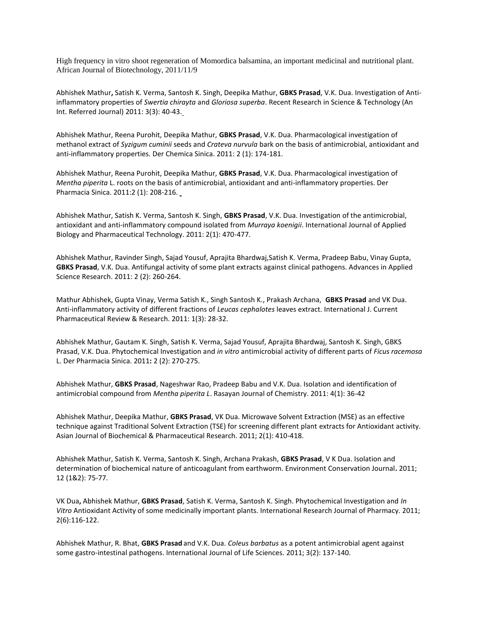High frequency in vitro shoot regeneration of Momordica balsamina, an important medicinal and nutritional plant. African Journal of Biotechnology, 2011/11/9

Abhishek Mathur**,** Satish K. Verma, Santosh K. Singh, Deepika Mathur, **GBKS Prasad**, V.K. Dua. Investigation of Antiinflammatory properties of *Swertia chirayta* and *Gloriosa superba*. Recent Research in Science & Technology (An Int. Referred Journal) 2011: 3(3): 40-43.

Abhishek Mathur, Reena Purohit, Deepika Mathur, **GBKS Prasad**, V.K. Dua. Pharmacological investigation of methanol extract of *Syzigum cuminii* seeds and *Crateva nurvula* bark on the basis of antimicrobial, antioxidant and anti-inflammatory properties. Der Chemica Sinica. 2011: 2 (1): 174-181.

Abhishek Mathur, Reena Purohit, Deepika Mathur, **GBKS Prasad**, V.K. Dua. Pharmacological investigation of *Mentha piperita* L. roots on the basis of antimicrobial, antioxidant and anti-inflammatory properties. Der Pharmacia Sinica. 2011:2 (1): 208-216.

Abhishek Mathur, Satish K. Verma, Santosh K. Singh, **GBKS Prasad**, V.K. Dua. Investigation of the antimicrobial, antioxidant and anti-inflammatory compound isolated from *Murraya koenigii*. International Journal of Applied Biology and Pharmaceutical Technology. 2011: 2(1): 470-477.

Abhishek Mathur, Ravinder Singh, Sajad Yousuf, Aprajita Bhardwaj,Satish K. Verma, Pradeep Babu, Vinay Gupta, **GBKS Prasad**, V.K. Dua. Antifungal activity of some plant extracts against clinical pathogens. Advances in Applied Science Research. 2011: 2 (2): 260-264.

Mathur Abhishek, Gupta Vinay, Verma Satish K., Singh Santosh K., Prakash Archana, **GBKS Prasad** and VK Dua. Anti-inflammatory activity of different fractions of *Leucas cephalotes* leaves extract. International J. Current Pharmaceutical Review & Research. 2011: 1(3): 28-32.

Abhishek Mathur, Gautam K. Singh, Satish K. Verma, Sajad Yousuf, Aprajita Bhardwaj, Santosh K. Singh, GBKS Prasad, V.K. Dua. Phytochemical Investigation and *in vitro* antimicrobial activity of different parts of *Ficus racemosa* L. Der Pharmacia Sinica. 2011**:** 2 (2): 270-275.

Abhishek Mathur, **GBKS Prasad**, Nageshwar Rao, Pradeep Babu and V.K. Dua. Isolation and identification of antimicrobial compound from *Mentha piperita L*. Rasayan Journal of Chemistry. 2011: 4(1): 36-42

Abhishek Mathur, Deepika Mathur, **GBKS Prasad**, VK Dua. Microwave Solvent Extraction (MSE) as an effective technique against Traditional Solvent Extraction (TSE) for screening different plant extracts for Antioxidant activity. Asian Journal of Biochemical & Pharmaceutical Research. 2011; 2(1): 410-418.

Abhishek Mathur, Satish K. Verma, Santosh K. Singh, Archana Prakash, **GBKS Prasad**, V K Dua. Isolation and determination of biochemical nature of anticoagulant from earthworm. Environment Conservation Journal**.** 2011; 12 (1&2): 75-77.

VK Dua**,** Abhishek Mathur, **GBKS Prasad**, Satish K. Verma, Santosh K. Singh. Phytochemical Investigation and *In Vitro* Antioxidant Activity of some medicinally important plants. International Research Journal of Pharmacy. 2011; 2(6):116-122.

Abhishek Mathur, R. Bhat, **GBKS Prasad** and V.K. Dua. *Coleus barbatus* as a potent antimicrobial agent against some gastro-intestinal pathogens. International Journal of Life Sciences. 2011; 3(2): 137-140.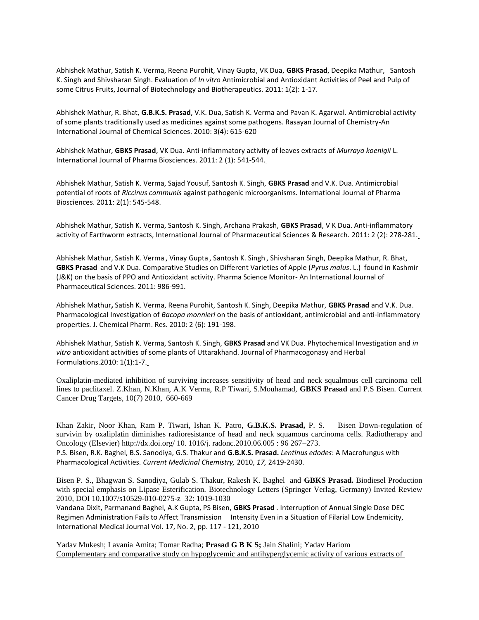Abhishek Mathur, Satish K. Verma, Reena Purohit, Vinay Gupta, VK Dua, **GBKS Prasad**, Deepika Mathur, Santosh K. Singh and Shivsharan Singh. Evaluation of *In vitro* Antimicrobial and Antioxidant Activities of Peel and Pulp of some Citrus Fruits, Journal of Biotechnology and Biotherapeutics. 2011: 1(2): 1-17.

Abhishek Mathur, R. Bhat, **G.B.K.S. Prasad**, V.K. Dua, Satish K. Verma and Pavan K. Agarwal. Antimicrobial activity of some plants traditionally used as medicines against some pathogens. Rasayan Journal of Chemistry-An International Journal of Chemical Sciences. 2010: 3(4): 615-620

Abhishek Mathur, **GBKS Prasad**, VK Dua. Anti-inflammatory activity of leaves extracts of *Murraya koenigii* L. International Journal of Pharma Biosciences. 2011: 2 (1): 541-544.

Abhishek Mathur, Satish K. Verma, Sajad Yousuf, Santosh K. Singh, **GBKS Prasad** and V.K. Dua. Antimicrobial potential of roots of *Riccinus communis* against pathogenic microorganisms. International Journal of Pharma Biosciences. 2011: 2(1): 545-548.

Abhishek Mathur, Satish K. Verma, Santosh K. Singh, Archana Prakash, **GBKS Prasad**, V K Dua. Anti-inflammatory activity of Earthworm extracts, International Journal of Pharmaceutical Sciences & Research. 2011: 2 (2): 278-281.

Abhishek Mathur, Satish K. Verma , Vinay Gupta , Santosh K. Singh , Shivsharan Singh, Deepika Mathur, R. Bhat, **GBKS Prasad** and V.K Dua. Comparative Studies on Different Varieties of Apple (*Pyrus malus*. L.) found in Kashmir (J&K) on the basis of PPO and Antioxidant activity. Pharma Science Monitor- An International Journal of Pharmaceutical Sciences. 2011: 986-991.

Abhishek Mathur**,** Satish K. Verma, Reena Purohit, Santosh K. Singh, Deepika Mathur, **GBKS Prasad** and V.K. Dua. Pharmacological Investigation of *Bacopa monnieri* on the basis of antioxidant, antimicrobial and anti-inflammatory properties. J. Chemical Pharm. Res. 2010: 2 (6): 191-198.

Abhishek Mathur, Satish K. Verma, Santosh K. Singh, **GBKS Prasad** and VK Dua. Phytochemical Investigation and *in vitro* antioxidant activities of some plants of Uttarakhand. Journal of Pharmacogonasy and Herbal Formulations.2010: 1(1):1-7.

Oxaliplatin-mediated inhibition of surviving increases sensitivity of head and neck squalmous cell carcinoma cell lines to paclitaxel. Z.Khan, N.Khan, A.K Verma, R.P Tiwari, S.Mouhamad, **GBKS Prasad** and P.S Bisen. Current Cancer Drug Targets, 10(7) 2010, 660-669

Khan Zakir, Noor Khan, Ram P. Tiwari, Ishan K. Patro, **G.B.K.S. Prasad,** P. S. Bisen Down-regulation of survivin by oxaliplatin diminishes radioresistance of head and neck squamous carcinoma cells. Radiotherapy and Oncology (Elsevier) http://dx.doi.org/ 10. 1016/j. radonc.2010.06.005 : 96 267–273. P.S. Bisen, R.K. Baghel, B.S. Sanodiya, G.S. Thakur and **G.B.K.S. Prasad.** *Lentinus edodes*: A Macrofungus with Pharmacological Activities. *Current Medicinal Chemistry,* 2010, *17,* 2419-2430.

Bisen P. S., Bhagwan S. Sanodiya, Gulab S. Thakur, Rakesh K. Baghel and **GBKS Prasad.** Biodiesel Production with special emphasis on Lipase Esterification. Biotechnology Letters (Springer Verlag, Germany) Invited Review 2010, DOI 10.1007/s10529-010-0275-z 32: 1019-1030

Vandana Dixit, Parmanand Baghel, A.K Gupta, PS Bisen, **GBKS Prasad** . Interruption of Annual Single Dose DEC Regimen Administration Fails to Affect Transmission Intensity Even in a Situation of Filarial Low Endemicity, International Medical Journal Vol. 17, No. 2, pp. 117 - 121, 2010

Yadav Mukesh; Lavania Amita; Tomar Radha; **Prasad G B K S;** Jain Shalini; Yadav Hariom [Complementary and comparative study on hypoglycemic and antihyperglycemic activity of various extracts of](http://www.biomedexperts.com/Abstract.bme/19904502/Complementary_and_comparative_study_on_hypoglycemic_and_antihyperglycemic_activity_of_various_extracts_of_Eugenia_jambol)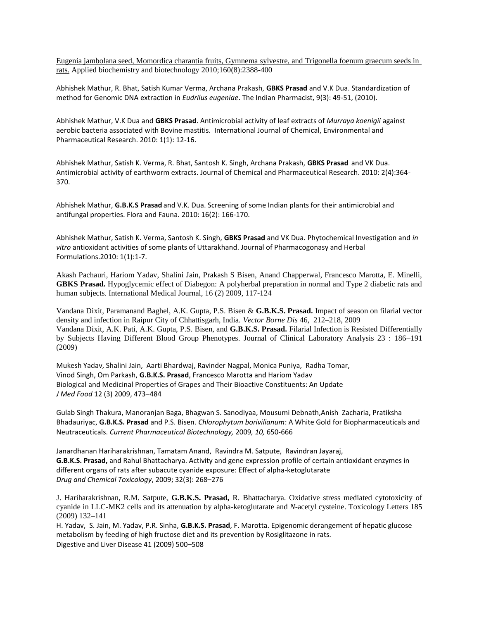Eugenia jambolana seed, Momordica charantia fruits, Gymnema sylvestre, and Trigonella foenum graecum seeds in rats. Applied biochemistry and biotechnology 2010;160(8):2388-400

Abhishek Mathur, R. Bhat, Satish Kumar Verma, Archana Prakash, **GBKS Prasad** and V.K Dua. Standardization of method for Genomic DNA extraction in *Eudrilus eugeniae*. The Indian Pharmacist, 9(3): 49-51, (2010).

Abhishek Mathur, V.K Dua and **GBKS Prasad**. Antimicrobial activity of leaf extracts of *Murraya koenigii* against aerobic bacteria associated with Bovine mastitis. International Journal of Chemical, Environmental and Pharmaceutical Research. 2010: 1(1): 12-16.

Abhishek Mathur, Satish K. Verma, R. Bhat, Santosh K. Singh, Archana Prakash, **GBKS Prasad** and VK Dua. Antimicrobial activity of earthworm extracts. Journal of Chemical and Pharmaceutical Research. 2010: 2(4):364- 370.

Abhishek Mathur, **G.B.K.S Prasad** and V.K. Dua. Screening of some Indian plants for their antimicrobial and antifungal properties. Flora and Fauna. 2010: 16(2): 166-170.

Abhishek Mathur, Satish K. Verma, Santosh K. Singh, **GBKS Prasad** and VK Dua. Phytochemical Investigation and *in vitro* antioxidant activities of some plants of Uttarakhand. Journal of Pharmacogonasy and Herbal Formulations.2010: 1(1):1-7.

Akash Pachauri, Hariom Yadav, Shalini Jain, Prakash S Bisen, Anand Chapperwal, Francesco Marotta, E. Minelli, **GBKS Prasad.** Hypoglycemic effect of Diabegon: A polyherbal preparation in normal and Type 2 diabetic rats and human subjects. International Medical Journal, 16 (2) 2009, 117-124

Vandana Dixit, Paramanand Baghel, A.K. Gupta, P.S. Bisen & **G.B.K.S. Prasad.** Impact of season on filarial vector density and infection in Raipur City of Chhattisgarh, India. *Vector Borne Dis* 46, 212–218, 2009 Vandana Dixit, A.K. Pati, A.K. Gupta, P.S. Bisen, and **G.B.K.S. Prasad.** Filarial Infection is Resisted Differentially by Subjects Having Different Blood Group Phenotypes. Journal of Clinical Laboratory Analysis 23 : 186–191 (2009)

Mukesh Yadav, Shalini Jain, Aarti Bhardwaj, Ravinder Nagpal, Monica Puniya, Radha Tomar, Vinod Singh, Om Parkash, **G.B.K.S. Prasad**, Francesco Marotta and Hariom Yadav Biological and Medicinal Properties of Grapes and Their Bioactive Constituents: An Update *J Med Food* 12 (3) 2009, 473–484

Gulab Singh Thakura, Manoranjan Baga, Bhagwan S. Sanodiyaa, Mousumi Debnath,Anish Zacharia, Pratiksha Bhadauriyac, **G.B.K.S. Prasad** and P.S. Bisen. *Chlorophytum borivilianum*: A White Gold for Biopharmaceuticals and Neutraceuticals. *Current Pharmaceutical Biotechnology,* 2009*, 10,* 650-666

Janardhanan Hariharakrishnan, Tamatam Anand, Ravindra M. Satpute, Ravindran Jayaraj, **G.B.K.S. Prasad,** and Rahul Bhattacharya. Activity and gene expression profile of certain antioxidant enzymes in different organs of rats after subacute cyanide exposure: Effect of alpha-ketoglutarate *Drug and Chemical Toxicology*, 2009; 32(3): 268–276

J. Hariharakrishnan, R.M. Satpute, **G.B.K.S. Prasad,** R. Bhattacharya. Oxidative stress mediated cytotoxicity of cyanide in LLC-MK2 cells and its attenuation by alpha-ketoglutarate and *N*-acetyl cysteine. Toxicology Letters 185 (2009) 132–141

H. Yadav, S. Jain, M. Yadav, P.R. Sinha, **G.B.K.S. Prasad**, F. Marotta. Epigenomic derangement of hepatic glucose metabolism by feeding of high fructose diet and its prevention by Rosiglitazone in rats. Digestive and Liver Disease 41 (2009) 500–508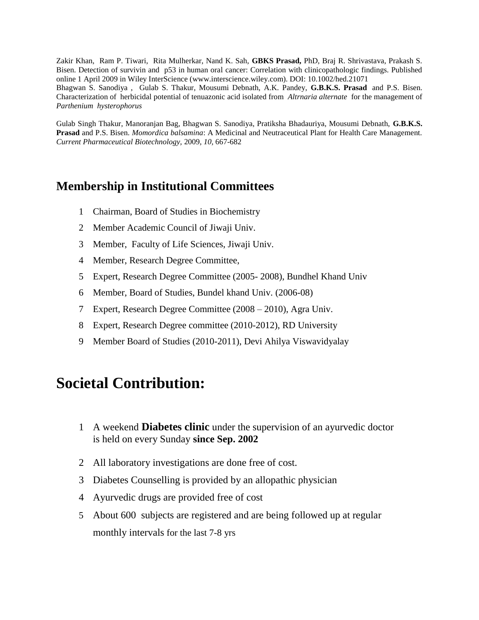Zakir Khan, Ram P. Tiwari, Rita Mulherkar, Nand K. Sah, **GBKS Prasad,** PhD, Braj R. Shrivastava, Prakash S. Bisen. Detection of survivin and p53 in human oral cancer: Correlation with clinicopathologic findings. Published online 1 April 2009 in Wiley InterScience (www.interscience.wiley.com). DOI: 10.1002/hed.21071  Bhagwan S. Sanodiya , Gulab S. Thakur, Mousumi Debnath, A.K. Pandey, **G.B.K.S. Prasad** and P.S. Bisen. Characterization of herbicidal potential of tenuazonic acid isolated from *Altrnaria alternate* for the management of *Parthenium hysterophorus* 

Gulab Singh Thakur, Manoranjan Bag, Bhagwan S. Sanodiya, Pratiksha Bhadauriya, Mousumi Debnath, **G.B.K.S. Prasad** and P.S. Bisen. *Momordica balsamina*: A Medicinal and Neutraceutical Plant for Health Care Management. *Current Pharmaceutical Biotechnology,* 2009*, 10,* 667-682

## **Membership in Institutional Committees**

- 1 Chairman, Board of Studies in Biochemistry
- 2 Member Academic Council of Jiwaji Univ.
- 3 Member, Faculty of Life Sciences, Jiwaji Univ.
- 4 Member, Research Degree Committee,
- 5 Expert, Research Degree Committee (2005- 2008), Bundhel Khand Univ
- 6 Member, Board of Studies, Bundel khand Univ. (2006-08)
- 7 Expert, Research Degree Committee (2008 2010), Agra Univ.
- 8 Expert, Research Degree committee (2010-2012), RD University
- 9 Member Board of Studies (2010-2011), Devi Ahilya Viswavidyalay

# **Societal Contribution:**

- 1 A weekend **Diabetes clinic** under the supervision of an ayurvedic doctor is held on every Sunday **since Sep. 2002**
- 2 All laboratory investigations are done free of cost.
- 3 Diabetes Counselling is provided by an allopathic physician
- 4 Ayurvedic drugs are provided free of cost
- 5 About 600 subjects are registered and are being followed up at regular monthly intervals for the last 7-8 yrs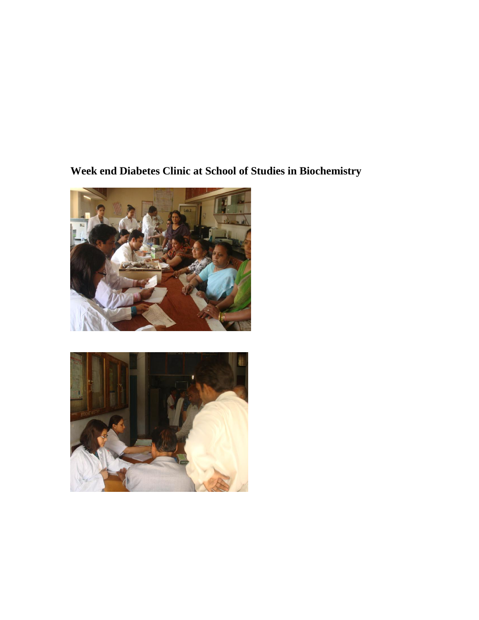# **Week end Diabetes Clinic at School of Studies in Biochemistry**



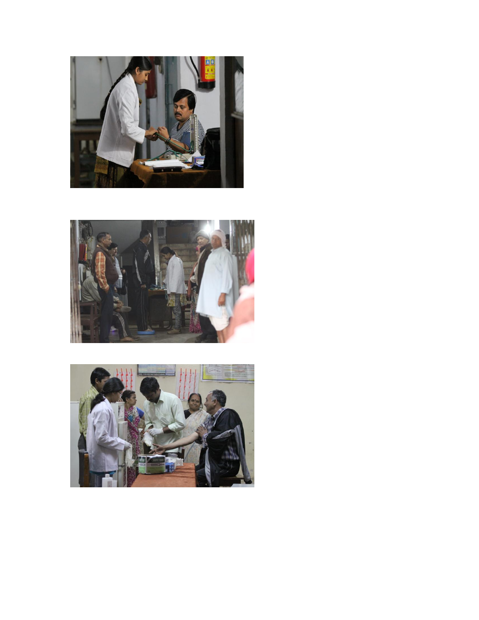